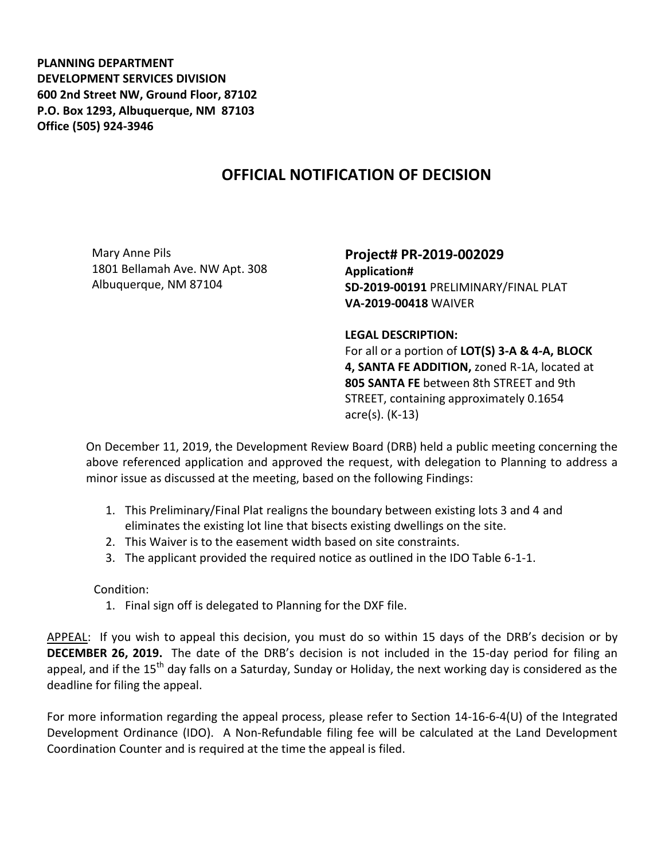**PLANNING DEPARTMENT DEVELOPMENT SERVICES DIVISION 600 2nd Street NW, Ground Floor, 87102 P.O. Box 1293, Albuquerque, NM 87103 Office (505) 924-3946** 

## **OFFICIAL NOTIFICATION OF DECISION**

Mary Anne Pils 1801 Bellamah Ave. NW Apt. 308 Albuquerque, NM 87104

**Project# PR-2019-002029 Application# SD-2019-00191** PRELIMINARY/FINAL PLAT **VA-2019-00418** WAIVER

## **LEGAL DESCRIPTION:**

For all or a portion of **LOT(S) 3-A & 4-A, BLOCK 4, SANTA FE ADDITION,** zoned R-1A, located at **805 SANTA FE** between 8th STREET and 9th STREET, containing approximately 0.1654 acre(s). (K-13)

On December 11, 2019, the Development Review Board (DRB) held a public meeting concerning the above referenced application and approved the request, with delegation to Planning to address a minor issue as discussed at the meeting, based on the following Findings:

- 1. This Preliminary/Final Plat realigns the boundary between existing lots 3 and 4 and eliminates the existing lot line that bisects existing dwellings on the site.
- 2. This Waiver is to the easement width based on site constraints.
- 3. The applicant provided the required notice as outlined in the IDO Table 6-1-1.

## Condition:

1. Final sign off is delegated to Planning for the DXF file.

APPEAL: If you wish to appeal this decision, you must do so within 15 days of the DRB's decision or by **DECEMBER 26, 2019.** The date of the DRB's decision is not included in the 15-day period for filing an appeal, and if the 15<sup>th</sup> day falls on a Saturday, Sunday or Holiday, the next working day is considered as the deadline for filing the appeal.

For more information regarding the appeal process, please refer to Section 14-16-6-4(U) of the Integrated Development Ordinance (IDO). A Non-Refundable filing fee will be calculated at the Land Development Coordination Counter and is required at the time the appeal is filed.